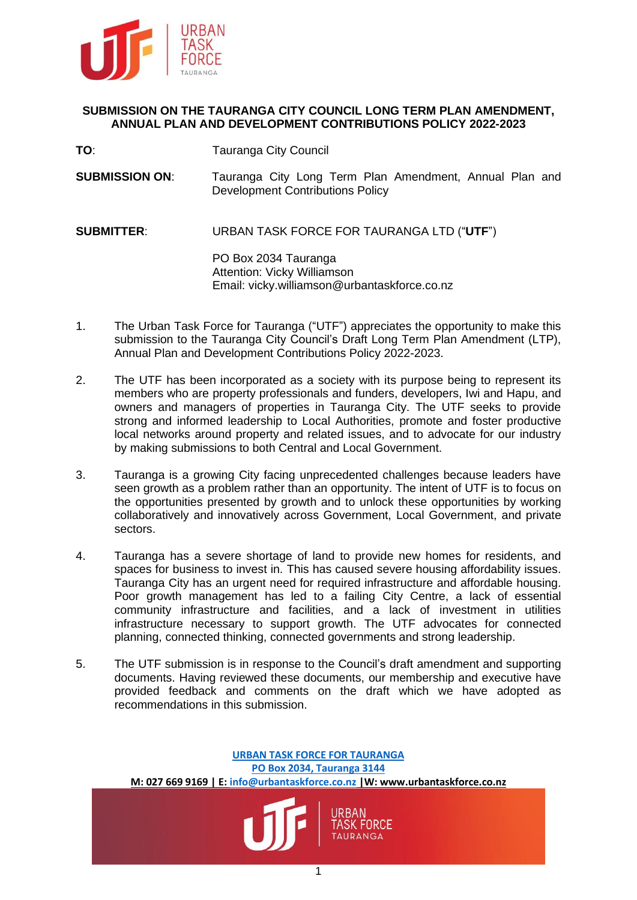

### **SUBMISSION ON THE TAURANGA CITY COUNCIL LONG TERM PLAN AMENDMENT, ANNUAL PLAN AND DEVELOPMENT CONTRIBUTIONS POLICY 2022-2023**

- **TO**: Tauranga City Council
- **SUBMISSION ON**: Tauranga City Long Term Plan Amendment, Annual Plan and Development Contributions Policy

**SUBMITTER**: URBAN TASK FORCE FOR TAURANGA LTD ("**UTF**")

PO Box 2034 Tauranga Attention: Vicky Williamson Email: vicky.williamson@urbantaskforce.co.nz

- 1. The Urban Task Force for Tauranga ("UTF") appreciates the opportunity to make this submission to the Tauranga City Council's Draft Long Term Plan Amendment (LTP), Annual Plan and Development Contributions Policy 2022-2023.
- 2. The UTF has been incorporated as a society with its purpose being to represent its members who are property professionals and funders, developers, Iwi and Hapu, and owners and managers of properties in Tauranga City. The UTF seeks to provide strong and informed leadership to Local Authorities, promote and foster productive local networks around property and related issues, and to advocate for our industry by making submissions to both Central and Local Government.
- 3. Tauranga is a growing City facing unprecedented challenges because leaders have seen growth as a problem rather than an opportunity. The intent of UTF is to focus on the opportunities presented by growth and to unlock these opportunities by working collaboratively and innovatively across Government, Local Government, and private sectors.
- 4. Tauranga has a severe shortage of land to provide new homes for residents, and spaces for business to invest in. This has caused severe housing affordability issues. Tauranga City has an urgent need for required infrastructure and affordable housing. Poor growth management has led to a failing City Centre, a lack of essential community infrastructure and facilities, and a lack of investment in utilities infrastructure necessary to support growth. The UTF advocates for connected planning, connected thinking, connected governments and strong leadership.
- 5. The UTF submission is in response to the Council's draft amendment and supporting documents. Having reviewed these documents, our membership and executive have provided feedback and comments on the draft which we have adopted as recommendations in this submission.

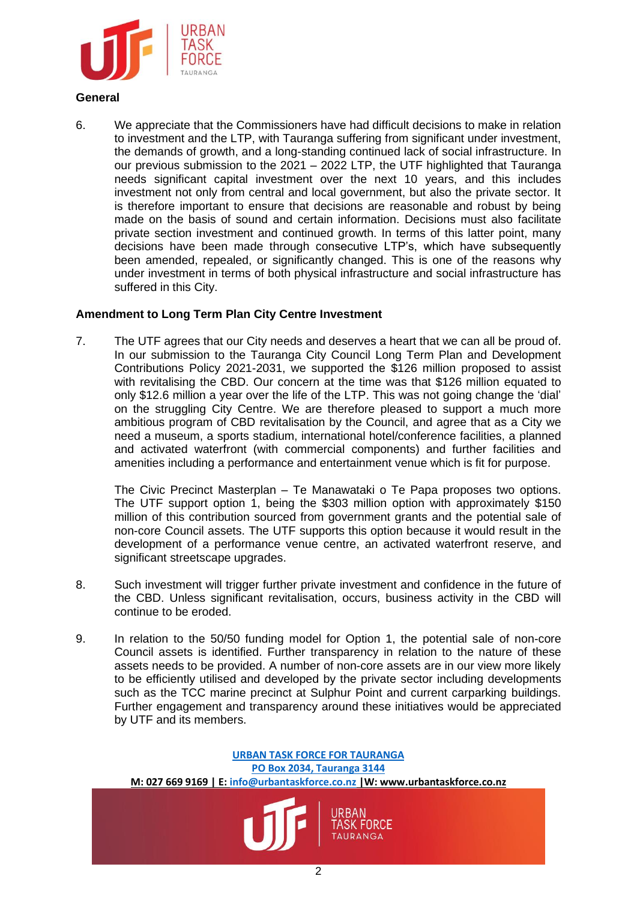

# **General**

6. We appreciate that the Commissioners have had difficult decisions to make in relation to investment and the LTP, with Tauranga suffering from significant under investment, the demands of growth, and a long-standing continued lack of social infrastructure. In our previous submission to the 2021 – 2022 LTP, the UTF highlighted that Tauranga needs significant capital investment over the next 10 years, and this includes investment not only from central and local government, but also the private sector. It is therefore important to ensure that decisions are reasonable and robust by being made on the basis of sound and certain information. Decisions must also facilitate private section investment and continued growth. In terms of this latter point, many decisions have been made through consecutive LTP's, which have subsequently been amended, repealed, or significantly changed. This is one of the reasons why under investment in terms of both physical infrastructure and social infrastructure has suffered in this City.

### **Amendment to Long Term Plan City Centre Investment**

7. The UTF agrees that our City needs and deserves a heart that we can all be proud of. In our submission to the Tauranga City Council Long Term Plan and Development Contributions Policy 2021-2031, we supported the \$126 million proposed to assist with revitalising the CBD. Our concern at the time was that \$126 million equated to only \$12.6 million a year over the life of the LTP. This was not going change the 'dial' on the struggling City Centre. We are therefore pleased to support a much more ambitious program of CBD revitalisation by the Council, and agree that as a City we need a museum, a sports stadium, international hotel/conference facilities, a planned and activated waterfront (with commercial components) and further facilities and amenities including a performance and entertainment venue which is fit for purpose.

The Civic Precinct Masterplan – Te Manawataki o Te Papa proposes two options. The UTF support option 1, being the \$303 million option with approximately \$150 million of this contribution sourced from government grants and the potential sale of non-core Council assets. The UTF supports this option because it would result in the development of a performance venue centre, an activated waterfront reserve, and significant streetscape upgrades.

- 8. Such investment will trigger further private investment and confidence in the future of the CBD. Unless significant revitalisation, occurs, business activity in the CBD will continue to be eroded.
- 9. In relation to the 50/50 funding model for Option 1, the potential sale of non-core Council assets is identified. Further transparency in relation to the nature of these assets needs to be provided. A number of non-core assets are in our view more likely to be efficiently utilised and developed by the private sector including developments such as the TCC marine precinct at Sulphur Point and current carparking buildings. Further engagement and transparency around these initiatives would be appreciated by UTF and its members.

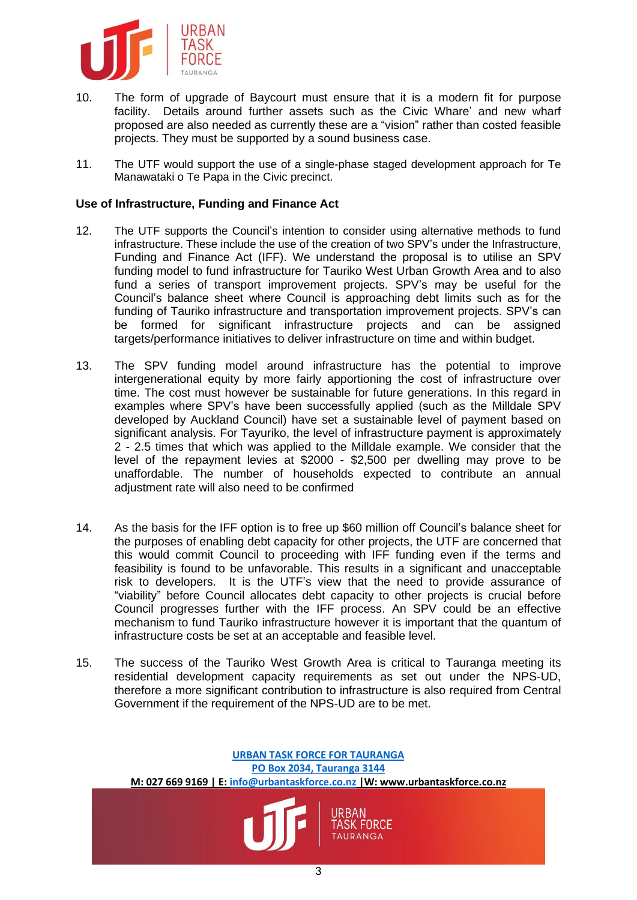

- 10. The form of upgrade of Baycourt must ensure that it is a modern fit for purpose facility. Details around further assets such as the Civic Whare' and new wharf proposed are also needed as currently these are a "vision" rather than costed feasible projects. They must be supported by a sound business case.
- 11. The UTF would support the use of a single-phase staged development approach for Te Manawataki o Te Papa in the Civic precinct.

# **Use of Infrastructure, Funding and Finance Act**

- 12. The UTF supports the Council's intention to consider using alternative methods to fund infrastructure. These include the use of the creation of two SPV's under the Infrastructure, Funding and Finance Act (IFF). We understand the proposal is to utilise an SPV funding model to fund infrastructure for Tauriko West Urban Growth Area and to also fund a series of transport improvement projects. SPV's may be useful for the Council's balance sheet where Council is approaching debt limits such as for the funding of Tauriko infrastructure and transportation improvement projects. SPV's can be formed for significant infrastructure projects and can be assigned targets/performance initiatives to deliver infrastructure on time and within budget.
- 13. The SPV funding model around infrastructure has the potential to improve intergenerational equity by more fairly apportioning the cost of infrastructure over time. The cost must however be sustainable for future generations. In this regard in examples where SPV's have been successfully applied (such as the Milldale SPV developed by Auckland Council) have set a sustainable level of payment based on significant analysis. For Tayuriko, the level of infrastructure payment is approximately 2 - 2.5 times that which was applied to the Milldale example. We consider that the level of the repayment levies at \$2000 - \$2,500 per dwelling may prove to be unaffordable. The number of households expected to contribute an annual adjustment rate will also need to be confirmed
- 14. As the basis for the IFF option is to free up \$60 million off Council's balance sheet for the purposes of enabling debt capacity for other projects, the UTF are concerned that this would commit Council to proceeding with IFF funding even if the terms and feasibility is found to be unfavorable. This results in a significant and unacceptable risk to developers. It is the UTF's view that the need to provide assurance of "viability" before Council allocates debt capacity to other projects is crucial before Council progresses further with the IFF process. An SPV could be an effective mechanism to fund Tauriko infrastructure however it is important that the quantum of infrastructure costs be set at an acceptable and feasible level.
- 15. The success of the Tauriko West Growth Area is critical to Tauranga meeting its residential development capacity requirements as set out under the NPS-UD, therefore a more significant contribution to infrastructure is also required from Central Government if the requirement of the NPS-UD are to be met.

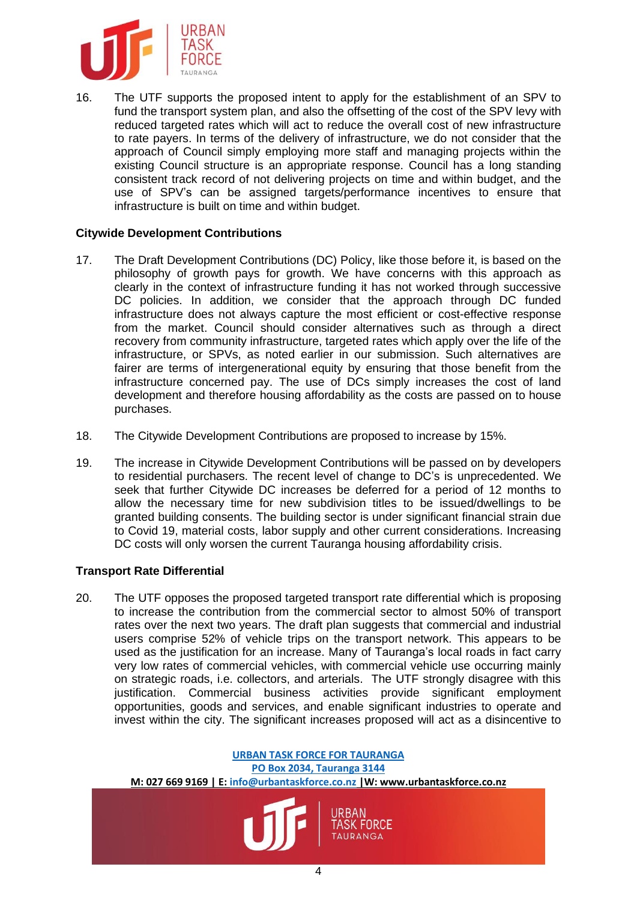

16. The UTF supports the proposed intent to apply for the establishment of an SPV to fund the transport system plan, and also the offsetting of the cost of the SPV levy with reduced targeted rates which will act to reduce the overall cost of new infrastructure to rate payers. In terms of the delivery of infrastructure, we do not consider that the approach of Council simply employing more staff and managing projects within the existing Council structure is an appropriate response. Council has a long standing consistent track record of not delivering projects on time and within budget, and the use of SPV's can be assigned targets/performance incentives to ensure that infrastructure is built on time and within budget.

### **Citywide Development Contributions**

- 17. The Draft Development Contributions (DC) Policy, like those before it, is based on the philosophy of growth pays for growth. We have concerns with this approach as clearly in the context of infrastructure funding it has not worked through successive DC policies. In addition, we consider that the approach through DC funded infrastructure does not always capture the most efficient or cost-effective response from the market. Council should consider alternatives such as through a direct recovery from community infrastructure, targeted rates which apply over the life of the infrastructure, or SPVs, as noted earlier in our submission. Such alternatives are fairer are terms of intergenerational equity by ensuring that those benefit from the infrastructure concerned pay. The use of DCs simply increases the cost of land development and therefore housing affordability as the costs are passed on to house purchases.
- 18. The Citywide Development Contributions are proposed to increase by 15%.
- 19. The increase in Citywide Development Contributions will be passed on by developers to residential purchasers. The recent level of change to DC's is unprecedented. We seek that further Citywide DC increases be deferred for a period of 12 months to allow the necessary time for new subdivision titles to be issued/dwellings to be granted building consents. The building sector is under significant financial strain due to Covid 19, material costs, labor supply and other current considerations. Increasing DC costs will only worsen the current Tauranga housing affordability crisis.

### **Transport Rate Differential**

20. The UTF opposes the proposed targeted transport rate differential which is proposing to increase the contribution from the commercial sector to almost 50% of transport rates over the next two years. The draft plan suggests that commercial and industrial users comprise 52% of vehicle trips on the transport network. This appears to be used as the justification for an increase. Many of Tauranga's local roads in fact carry very low rates of commercial vehicles, with commercial vehicle use occurring mainly on strategic roads, i.e. collectors, and arterials. The UTF strongly disagree with this justification. Commercial business activities provide significant employment opportunities, goods and services, and enable significant industries to operate and invest within the city. The significant increases proposed will act as a disincentive to